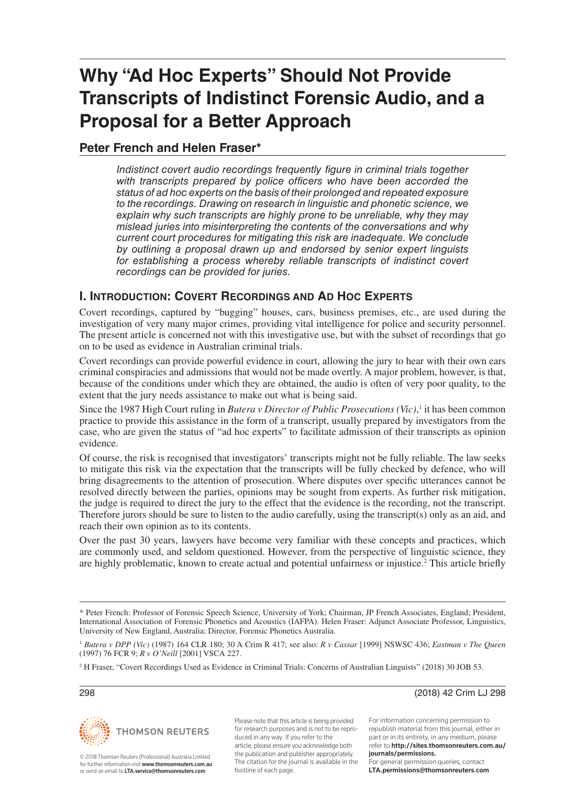# **Why "Ad Hoc Experts" Should Not Provide Transcripts of Indistinct Forensic Audio, and a Proposal for a Better Approach**

## **Peter French and Helen Fraser\***

*Indistinct covert audio recordings frequently figure in criminal trials together with transcripts prepared by police officers who have been accorded the status of ad hoc experts on the basis of their prolonged and repeated exposure to the recordings. Drawing on research in linguistic and phonetic science, we explain why such transcripts are highly prone to be unreliable, why they may mislead juries into misinterpreting the contents of the conversations and why current court procedures for mitigating this risk are inadequate. We conclude by outlining a proposal drawn up and endorsed by senior expert linguists*  for establishing a process whereby reliable transcripts of indistinct covert *recordings can be provided for juries.*

#### **I. INTRODUCTION: COVERT RECORDINGS AND AD HOC EXPERTS**

Covert recordings, captured by "bugging" houses, cars, business premises, etc., are used during the investigation of very many major crimes, providing vital intelligence for police and security personnel. The present article is concerned not with this investigative use, but with the subset of recordings that go on to be used as evidence in Australian criminal trials.

Covert recordings can provide powerful evidence in court, allowing the jury to hear with their own ears criminal conspiracies and admissions that would not be made overtly. A major problem, however, is that, because of the conditions under which they are obtained, the audio is often of very poor quality, to the extent that the jury needs assistance to make out what is being said.

Since the 1987 High Court ruling in *Butera v Director of Public Prosecutions* (Vic),<sup>1</sup> it has been common practice to provide this assistance in the form of a transcript, usually prepared by investigators from the case, who are given the status of "ad hoc experts" to facilitate admission of their transcripts as opinion evidence.

Of course, the risk is recognised that investigators' transcripts might not be fully reliable. The law seeks to mitigate this risk via the expectation that the transcripts will be fully checked by defence, who will bring disagreements to the attention of prosecution. Where disputes over specific utterances cannot be resolved directly between the parties, opinions may be sought from experts. As further risk mitigation, the judge is required to direct the jury to the effect that the evidence is the recording, not the transcript. Therefore jurors should be sure to listen to the audio carefully, using the transcript(s) only as an aid, and reach their own opinion as to its contents.

Over the past 30 years, lawyers have become very familiar with these concepts and practices, which are commonly used, and seldom questioned. However, from the perspective of linguistic science, they are highly problematic, known to create actual and potential unfairness or injustice.<sup>2</sup> This article briefly



© 2018 Thomson Reuters (Professional) Australia Limited for further information visit www.thomsonreuters.com.au. or send an email to LTA.service@thomsonreuters.com

Please note that this article is being provided for research purposes and is not to be reproduced in any way. If you refer to the article, please ensure you acknowledge both the publication and publisher appropriately. The citation for the journal is available in the footline of each page.

298 (2018) 42 Crim LJ 298

For information concerning permission to republish material from this journal, either in part or in its entirety, in any medium, please refer to http://sites.thomsonreuters.com.au/ journals/permissions. For general permission queries, contact LTA.permissions@thomsonreuters.com

<sup>\*</sup> Peter French: Professor of Forensic Speech Science, University of York; Chairman, JP French Associates, England; President, International Association of Forensic Phonetics and Acoustics (IAFPA). Helen Fraser: Adjunct Associate Professor, Linguistics, University of New England, Australia; Director, Forensic Phonetics Australia.

<sup>1</sup> *Butera v DPP (Vic)* (1987) 164 CLR 180; 30 A Crim R 417; see also: *R v Cassar* [1999] NSWSC 436; *Eastman v The Queen* (1997) 76 FCR 9; *R v O'Neill* [2001] VSCA 227.

<sup>&</sup>lt;sup>2</sup> H Fraser, "Covert Recordings Used as Evidence in Criminal Trials: Concerns of Australian Linguists" (2018) 30 JOB 53.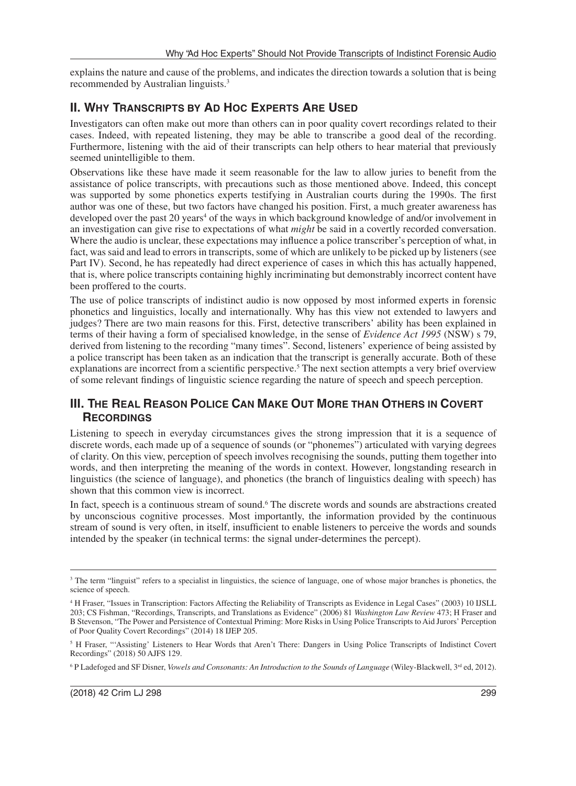explains the nature and cause of the problems, and indicates the direction towards a solution that is being recommended by Australian linguists.3

# **II. WHY TRANSCRIPTS BY AD HOC EXPERTS ARE USED**

Investigators can often make out more than others can in poor quality covert recordings related to their cases. Indeed, with repeated listening, they may be able to transcribe a good deal of the recording. Furthermore, listening with the aid of their transcripts can help others to hear material that previously seemed unintelligible to them.

Observations like these have made it seem reasonable for the law to allow juries to benefit from the assistance of police transcripts, with precautions such as those mentioned above. Indeed, this concept was supported by some phonetics experts testifying in Australian courts during the 1990s. The first author was one of these, but two factors have changed his position. First, a much greater awareness has developed over the past 20 years<sup>4</sup> of the ways in which background knowledge of and/or involvement in an investigation can give rise to expectations of what *might* be said in a covertly recorded conversation. Where the audio is unclear, these expectations may influence a police transcriber's perception of what, in fact, was said and lead to errors in transcripts, some of which are unlikely to be picked up by listeners (see Part IV). Second, he has repeatedly had direct experience of cases in which this has actually happened, that is, where police transcripts containing highly incriminating but demonstrably incorrect content have been proffered to the courts.

The use of police transcripts of indistinct audio is now opposed by most informed experts in forensic phonetics and linguistics, locally and internationally. Why has this view not extended to lawyers and judges? There are two main reasons for this. First, detective transcribers' ability has been explained in terms of their having a form of specialised knowledge, in the sense of *Evidence Act 1995* (NSW) s 79, derived from listening to the recording "many times". Second, listeners' experience of being assisted by a police transcript has been taken as an indication that the transcript is generally accurate. Both of these explanations are incorrect from a scientific perspective.<sup>5</sup> The next section attempts a very brief overview of some relevant findings of linguistic science regarding the nature of speech and speech perception.

## **III. THE REAL REASON POLICE CAN MAKE OUT MORE THAN OTHERS IN COVERT RECORDINGS**

Listening to speech in everyday circumstances gives the strong impression that it is a sequence of discrete words, each made up of a sequence of sounds (or "phonemes") articulated with varying degrees of clarity. On this view, perception of speech involves recognising the sounds, putting them together into words, and then interpreting the meaning of the words in context. However, longstanding research in linguistics (the science of language), and phonetics (the branch of linguistics dealing with speech) has shown that this common view is incorrect.

In fact, speech is a continuous stream of sound.<sup>6</sup> The discrete words and sounds are abstractions created by unconscious cognitive processes. Most importantly, the information provided by the continuous stream of sound is very often, in itself, insufficient to enable listeners to perceive the words and sounds intended by the speaker (in technical terms: the signal under-determines the percept).

<sup>&</sup>lt;sup>3</sup> The term "linguist" refers to a specialist in linguistics, the science of language, one of whose major branches is phonetics, the science of speech.

<sup>&</sup>lt;sup>4</sup> H Fraser, "Issues in Transcription: Factors Affecting the Reliability of Transcripts as Evidence in Legal Cases" (2003) 10 IJSLL 203; CS Fishman, "Recordings, Transcripts, and Translations as Evidence" (2006) 81 *Washington Law Review* 473; H Fraser and B Stevenson, "The Power and Persistence of Contextual Priming: More Risks in Using Police Transcripts to Aid Jurors' Perception of Poor Quality Covert Recordings" (2014) 18 IJEP 205.

<sup>&</sup>lt;sup>5</sup> H Fraser, "Assisting' Listeners to Hear Words that Aren't There: Dangers in Using Police Transcripts of Indistinct Covert Recordings" (2018) 50 AJFS 129.

<sup>&</sup>lt;sup>6</sup> P Ladefoged and SF Disner, *Vowels and Consonants: An Introduction to the Sounds of Language* (Wiley-Blackwell, 3<sup>rd</sup> ed, 2012).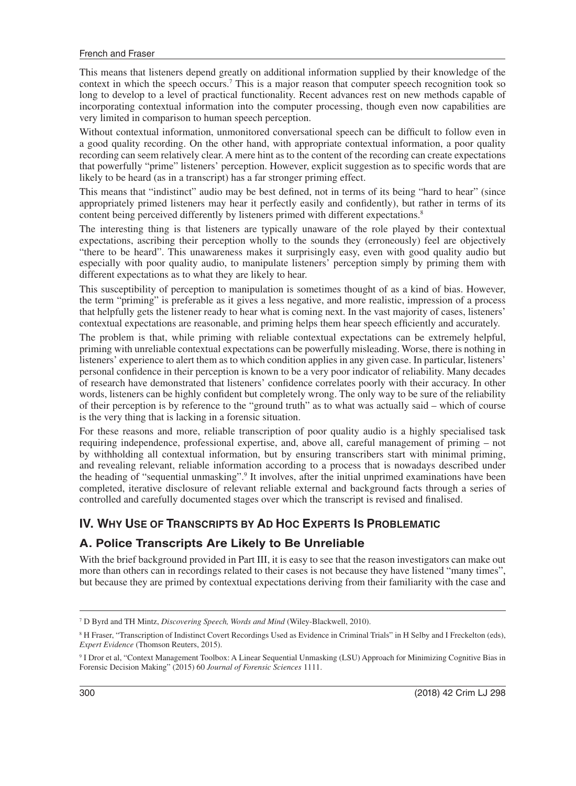This means that listeners depend greatly on additional information supplied by their knowledge of the context in which the speech occurs.<sup>7</sup> This is a major reason that computer speech recognition took so long to develop to a level of practical functionality. Recent advances rest on new methods capable of incorporating contextual information into the computer processing, though even now capabilities are very limited in comparison to human speech perception.

Without contextual information, unmonitored conversational speech can be difficult to follow even in a good quality recording. On the other hand, with appropriate contextual information, a poor quality recording can seem relatively clear. A mere hint as to the content of the recording can create expectations that powerfully "prime" listeners' perception. However, explicit suggestion as to specific words that are likely to be heard (as in a transcript) has a far stronger priming effect.

This means that "indistinct" audio may be best defined, not in terms of its being "hard to hear" (since appropriately primed listeners may hear it perfectly easily and confidently), but rather in terms of its content being perceived differently by listeners primed with different expectations.<sup>8</sup>

The interesting thing is that listeners are typically unaware of the role played by their contextual expectations, ascribing their perception wholly to the sounds they (erroneously) feel are objectively "there to be heard". This unawareness makes it surprisingly easy, even with good quality audio but especially with poor quality audio, to manipulate listeners' perception simply by priming them with different expectations as to what they are likely to hear.

This susceptibility of perception to manipulation is sometimes thought of as a kind of bias. However, the term "priming" is preferable as it gives a less negative, and more realistic, impression of a process that helpfully gets the listener ready to hear what is coming next. In the vast majority of cases, listeners' contextual expectations are reasonable, and priming helps them hear speech efficiently and accurately.

The problem is that, while priming with reliable contextual expectations can be extremely helpful, priming with unreliable contextual expectations can be powerfully misleading. Worse, there is nothing in listeners' experience to alert them as to which condition applies in any given case. In particular, listeners' personal confidence in their perception is known to be a very poor indicator of reliability. Many decades of research have demonstrated that listeners' confidence correlates poorly with their accuracy. In other words, listeners can be highly confident but completely wrong. The only way to be sure of the reliability of their perception is by reference to the "ground truth" as to what was actually said – which of course is the very thing that is lacking in a forensic situation.

For these reasons and more, reliable transcription of poor quality audio is a highly specialised task requiring independence, professional expertise, and, above all, careful management of priming – not by withholding all contextual information, but by ensuring transcribers start with minimal priming, and revealing relevant, reliable information according to a process that is nowadays described under the heading of "sequential unmasking".<sup>9</sup> It involves, after the initial unprimed examinations have been completed, iterative disclosure of relevant reliable external and background facts through a series of controlled and carefully documented stages over which the transcript is revised and finalised.

#### **IV. WHY USE OF TRANSCRIPTS BY AD HOC EXPERTS IS PROBLEMATIC**

#### **A. Police Transcripts Are Likely to Be Unreliable**

With the brief background provided in Part III, it is easy to see that the reason investigators can make out more than others can in recordings related to their cases is not because they have listened "many times", but because they are primed by contextual expectations deriving from their familiarity with the case and

<sup>7</sup> D Byrd and TH Mintz, *Discovering Speech, Words and Mind* (Wiley-Blackwell, 2010).

<sup>&</sup>lt;sup>8</sup> H Fraser, "Transcription of Indistinct Covert Recordings Used as Evidence in Criminal Trials" in H Selby and I Freckelton (eds), *Expert Evidence* (Thomson Reuters, 2015).

<sup>9</sup> I Dror et al, "Context Management Toolbox: A Linear Sequential Unmasking (LSU) Approach for Minimizing Cognitive Bias in Forensic Decision Making" (2015) 60 *Journal of Forensic Sciences* 1111.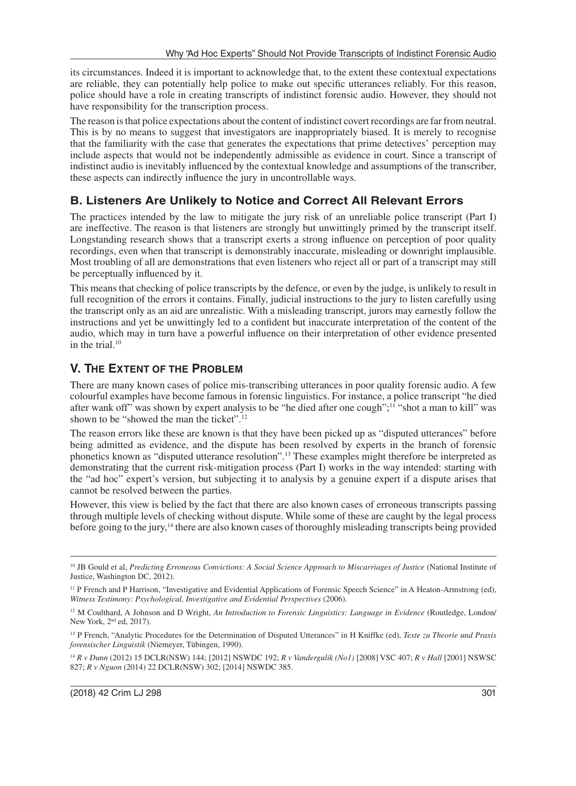its circumstances. Indeed it is important to acknowledge that, to the extent these contextual expectations are reliable, they can potentially help police to make out specific utterances reliably. For this reason, police should have a role in creating transcripts of indistinct forensic audio. However, they should not have responsibility for the transcription process.

The reason is that police expectations about the content of indistinct covert recordings are far from neutral. This is by no means to suggest that investigators are inappropriately biased. It is merely to recognise that the familiarity with the case that generates the expectations that prime detectives' perception may include aspects that would not be independently admissible as evidence in court. Since a transcript of indistinct audio is inevitably influenced by the contextual knowledge and assumptions of the transcriber, these aspects can indirectly influence the jury in uncontrollable ways.

#### **B. Listeners Are Unlikely to Notice and Correct All Relevant Errors**

The practices intended by the law to mitigate the jury risk of an unreliable police transcript (Part I) are ineffective. The reason is that listeners are strongly but unwittingly primed by the transcript itself. Longstanding research shows that a transcript exerts a strong influence on perception of poor quality recordings, even when that transcript is demonstrably inaccurate, misleading or downright implausible. Most troubling of all are demonstrations that even listeners who reject all or part of a transcript may still be perceptually influenced by it.

This means that checking of police transcripts by the defence, or even by the judge, is unlikely to result in full recognition of the errors it contains. Finally, judicial instructions to the jury to listen carefully using the transcript only as an aid are unrealistic. With a misleading transcript, jurors may earnestly follow the instructions and yet be unwittingly led to a confident but inaccurate interpretation of the content of the audio, which may in turn have a powerful influence on their interpretation of other evidence presented in the trial. $10$ 

#### **V. THE EXTENT OF THE PROBLEM**

There are many known cases of police mis-transcribing utterances in poor quality forensic audio. A few colourful examples have become famous in forensic linguistics. For instance, a police transcript "he died after wank off" was shown by expert analysis to be "he died after one cough";<sup>11</sup> "shot a man to kill" was shown to be "showed the man the ticket".<sup>12</sup>

The reason errors like these are known is that they have been picked up as "disputed utterances" before being admitted as evidence, and the dispute has been resolved by experts in the branch of forensic phonetics known as "disputed utterance resolution".13 These examples might therefore be interpreted as demonstrating that the current risk-mitigation process (Part I) works in the way intended: starting with the "ad hoc" expert's version, but subjecting it to analysis by a genuine expert if a dispute arises that cannot be resolved between the parties.

However, this view is belied by the fact that there are also known cases of erroneous transcripts passing through multiple levels of checking without dispute. While some of these are caught by the legal process before going to the jury,14 there are also known cases of thoroughly misleading transcripts being provided

<sup>10</sup> JB Gould et al, *Predicting Erroneous Convictions: A Social Science Approach to Miscarriages of Justice* (National Institute of Justice, Washington DC, 2012).

<sup>&</sup>lt;sup>11</sup> P French and P Harrison, "Investigative and Evidential Applications of Forensic Speech Science" in A Heaton-Armstrong (ed), *Witness Testimony: Psychological, Investigative and Evidential Perspectives* (2006).

<sup>&</sup>lt;sup>12</sup> M Coulthard, A Johnson and D Wright, *An Introduction to Forensic Linguistics: Language in Evidence* (Routledge, London/ New York, 2<sup>nd</sup> ed, 2017).

<sup>&</sup>lt;sup>13</sup> P French, "Analytic Procedures for the Determination of Disputed Utterances" in H Kniffke (ed), *Texte zu Theorie und Praxis forensischer Linguistik* (Niemeyer, Tübingen, 1990).

<sup>14</sup> *R v Dunn* (2012) 15 DCLR(NSW) 144; [2012] NSWDC 192; *R v Vandergulik (No1)* [2008] VSC 407; *R v Hall* [2001] NSWSC 827; *R v Nguon* (2014) 22 DCLR(NSW) 302; [2014] NSWDC 385.